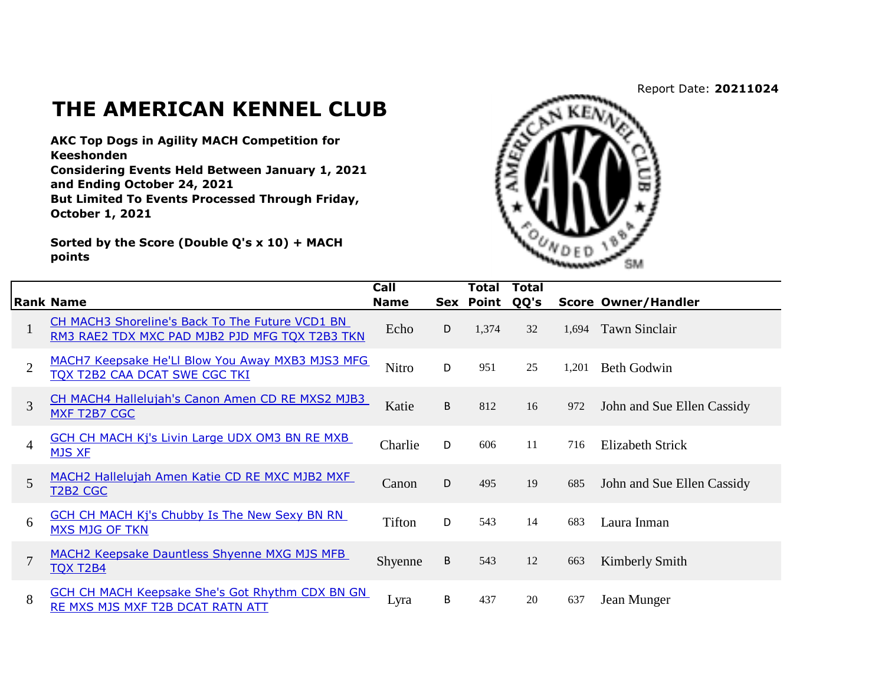## Report Date: **20211024**

## **THE AMERICAN KENNEL CLUB**

**AKC Top Dogs in Agility MACH Competition for Keeshonden**

**Considering Events Held Between January 1, 2021 and Ending October 24, 2021 But Limited To Events Processed Through Friday, October 1, 2021**

**Sorted by the Score (Double Q's x 10) + MACH points**



|                |                                                                                                   | Call          |   | Total     | <b>Total</b> |       |                            |
|----------------|---------------------------------------------------------------------------------------------------|---------------|---|-----------|--------------|-------|----------------------------|
|                | <b>Rank Name</b>                                                                                  | <b>Name</b>   |   | Sex Point | QQ's         |       | <b>Score Owner/Handler</b> |
|                | CH MACH3 Shoreline's Back To The Future VCD1 BN<br>RM3 RAE2 TDX MXC PAD MJB2 PJD MFG TQX T2B3 TKN | Echo          | D | 1,374     | 32           | 1,694 | <b>Tawn Sinclair</b>       |
| $\overline{2}$ | MACH7 Keepsake He'Ll Blow You Away MXB3 MJS3 MFG<br>TQX T2B2 CAA DCAT SWE CGC TKI                 | Nitro         | D | 951       | 25           | 1.201 | <b>Beth Godwin</b>         |
| 3              | CH MACH4 Hallelujah's Canon Amen CD RE MXS2 MJB3<br>MXF T2B7 CGC                                  | Katie         | B | 812       | 16           | 972   | John and Sue Ellen Cassidy |
| $\overline{4}$ | <b>GCH CH MACH Kj's Livin Large UDX OM3 BN RE MXB</b><br><b>MJS XF</b>                            | Charlie       | D | 606       | 11           | 716   | <b>Elizabeth Strick</b>    |
| 5              | MACH2 Hallelujah Amen Katie CD RE MXC MJB2 MXF<br>T <sub>2</sub> B <sub>2</sub> C <sub>G</sub> C  | Canon         | D | 495       | 19           | 685   | John and Sue Ellen Cassidy |
| 6              | <b>GCH CH MACH Kj's Chubby Is The New Sexy BN RN</b><br><b>MXS MJG OF TKN</b>                     | <b>Tifton</b> | D | 543       | 14           | 683   | Laura Inman                |
| 7              | MACH2 Keepsake Dauntless Shyenne MXG MJS MFB<br><b>TQX T2B4</b>                                   | Shyenne       | B | 543       | 12           | 663   | Kimberly Smith             |
| 8              | <b>GCH CH MACH Keepsake She's Got Rhythm CDX BN GN</b><br>RE MXS MJS MXF T2B DCAT RATN ATT        | Lyra          | В | 437       | 20           | 637   | Jean Munger                |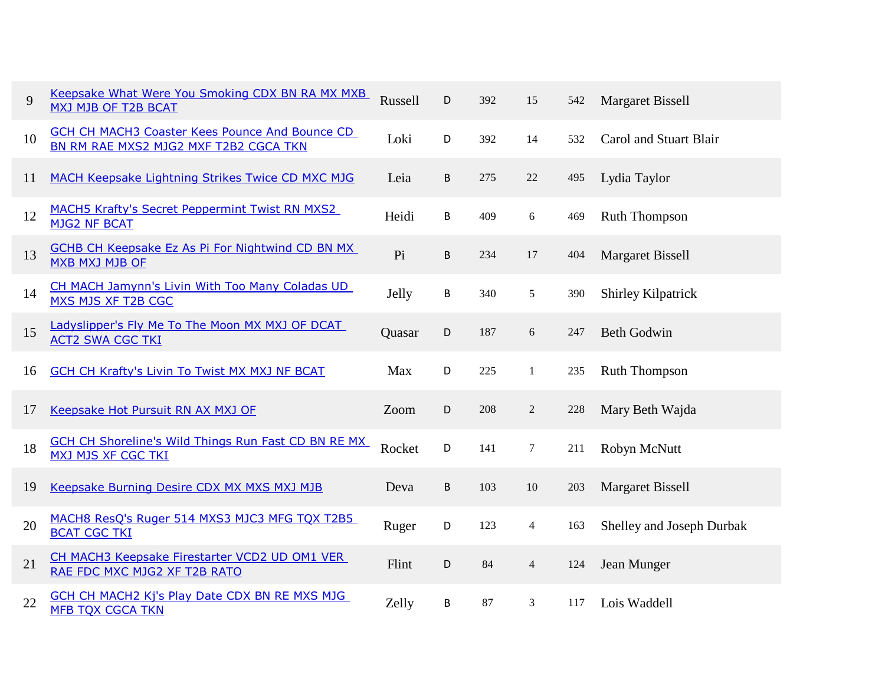| 9  | Keepsake What Were You Smoking CDX BN RA MX MXB<br>MXJ MJB OF T2B BCAT                         | Russell | D | 392 | 15             | 542 | <b>Margaret Bissell</b>   |
|----|------------------------------------------------------------------------------------------------|---------|---|-----|----------------|-----|---------------------------|
| 10 | <b>GCH CH MACH3 Coaster Kees Pounce And Bounce CD</b><br>BN RM RAE MXS2 MJG2 MXF T2B2 CGCA TKN | Loki    | D | 392 | 14             | 532 | Carol and Stuart Blair    |
| 11 | MACH Keepsake Lightning Strikes Twice CD MXC MJG                                               | Leia    | B | 275 | $22\,$         | 495 | Lydia Taylor              |
| 12 | MACH5 Krafty's Secret Peppermint Twist RN MXS2<br><b>MJG2 NF BCAT</b>                          | Heidi   | B | 409 | 6              | 469 | <b>Ruth Thompson</b>      |
| 13 | <b>GCHB CH Keepsake Ez As Pi For Nightwind CD BN MX</b><br>MXB MXJ MJB OF                      | Pi      | B | 234 | 17             | 404 | <b>Margaret Bissell</b>   |
| 14 | CH MACH Jamynn's Livin With Too Many Coladas UD<br>MXS MJS XF T2B CGC                          | Jelly   | B | 340 | 5              | 390 | <b>Shirley Kilpatrick</b> |
| 15 | Ladyslipper's Fly Me To The Moon MX MXJ OF DCAT<br><b>ACT2 SWA CGC TKI</b>                     | Quasar  | D | 187 | $\sqrt{6}$     | 247 | <b>Beth Godwin</b>        |
| 16 | <b>GCH CH Krafty's Livin To Twist MX MXJ NF BCAT</b>                                           | Max     | D | 225 | $\mathbf{1}$   | 235 | <b>Ruth Thompson</b>      |
| 17 | Keepsake Hot Pursuit RN AX MXJ OF                                                              | Zoom    | D | 208 | $\sqrt{2}$     | 228 | Mary Beth Wajda           |
| 18 | <b>GCH CH Shoreline's Wild Things Run Fast CD BN RE MX</b><br><b>MXJ MJS XF CGC TKI</b>        | Rocket  | D | 141 | $\tau$         | 211 | Robyn McNutt              |
| 19 | Keepsake Burning Desire CDX MX MXS MXJ MJB                                                     | Deva    | B | 103 | $10\,$         | 203 | <b>Margaret Bissell</b>   |
| 20 | MACH8 ResQ's Ruger 514 MXS3 MJC3 MFG TQX T2B5<br><b>BCAT CGC TKI</b>                           | Ruger   | D | 123 | $\overline{4}$ | 163 | Shelley and Joseph Durbak |
| 21 | CH MACH3 Keepsake Firestarter VCD2 UD OM1 VER<br>RAE FDC MXC MJG2 XF T2B RATO                  | Flint   | D | 84  | $\overline{4}$ | 124 | Jean Munger               |
| 22 | <b>GCH CH MACH2 Kj's Play Date CDX BN RE MXS MJG</b><br><b>MFB TQX CGCA TKN</b>                | Zelly   | B | 87  | 3              | 117 | Lois Waddell              |